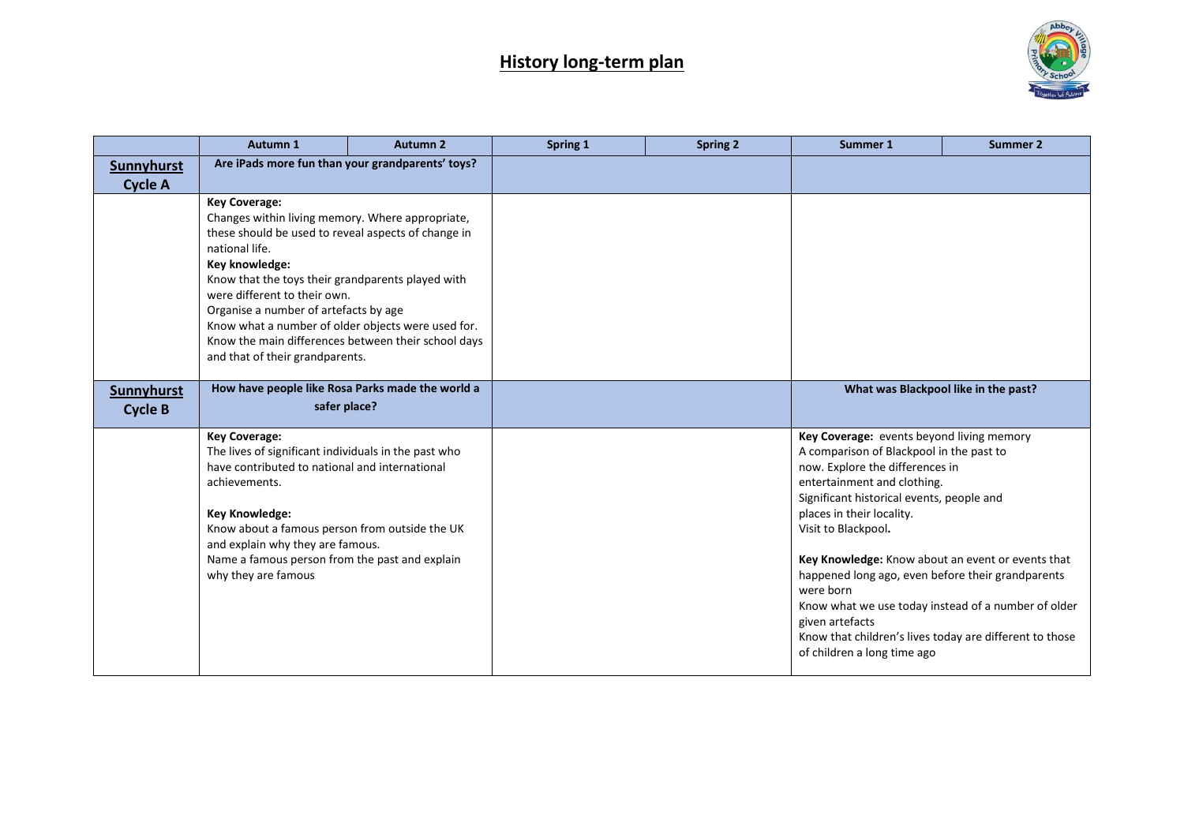

|                                     | Autumn 1                                                                                                                                                                                                                                                                                                                                                                                                                                          | <b>Autumn 2</b> | Spring 1 | <b>Spring 2</b> | Summer 1                                                                                                                                                                                                                                                                                                                                                                                                                                                                                                                                            | Summer 2                             |
|-------------------------------------|---------------------------------------------------------------------------------------------------------------------------------------------------------------------------------------------------------------------------------------------------------------------------------------------------------------------------------------------------------------------------------------------------------------------------------------------------|-----------------|----------|-----------------|-----------------------------------------------------------------------------------------------------------------------------------------------------------------------------------------------------------------------------------------------------------------------------------------------------------------------------------------------------------------------------------------------------------------------------------------------------------------------------------------------------------------------------------------------------|--------------------------------------|
| <b>Sunnyhurst</b>                   | Are iPads more fun than your grandparents' toys?                                                                                                                                                                                                                                                                                                                                                                                                  |                 |          |                 |                                                                                                                                                                                                                                                                                                                                                                                                                                                                                                                                                     |                                      |
| <b>Cycle A</b>                      |                                                                                                                                                                                                                                                                                                                                                                                                                                                   |                 |          |                 |                                                                                                                                                                                                                                                                                                                                                                                                                                                                                                                                                     |                                      |
|                                     | <b>Key Coverage:</b><br>Changes within living memory. Where appropriate,<br>these should be used to reveal aspects of change in<br>national life.<br>Key knowledge:<br>Know that the toys their grandparents played with<br>were different to their own.<br>Organise a number of artefacts by age<br>Know what a number of older objects were used for.<br>Know the main differences between their school days<br>and that of their grandparents. |                 |          |                 |                                                                                                                                                                                                                                                                                                                                                                                                                                                                                                                                                     |                                      |
| <b>Sunnyhurst</b><br><b>Cycle B</b> | How have people like Rosa Parks made the world a<br>safer place?                                                                                                                                                                                                                                                                                                                                                                                  |                 |          |                 |                                                                                                                                                                                                                                                                                                                                                                                                                                                                                                                                                     | What was Blackpool like in the past? |
|                                     | <b>Key Coverage:</b><br>The lives of significant individuals in the past who<br>have contributed to national and international<br>achievements.<br><b>Key Knowledge:</b><br>Know about a famous person from outside the UK<br>and explain why they are famous.<br>Name a famous person from the past and explain<br>why they are famous                                                                                                           |                 |          |                 | Key Coverage: events beyond living memory<br>A comparison of Blackpool in the past to<br>now. Explore the differences in<br>entertainment and clothing.<br>Significant historical events, people and<br>places in their locality.<br>Visit to Blackpool.<br>Key Knowledge: Know about an event or events that<br>happened long ago, even before their grandparents<br>were born<br>Know what we use today instead of a number of older<br>given artefacts<br>Know that children's lives today are different to those<br>of children a long time ago |                                      |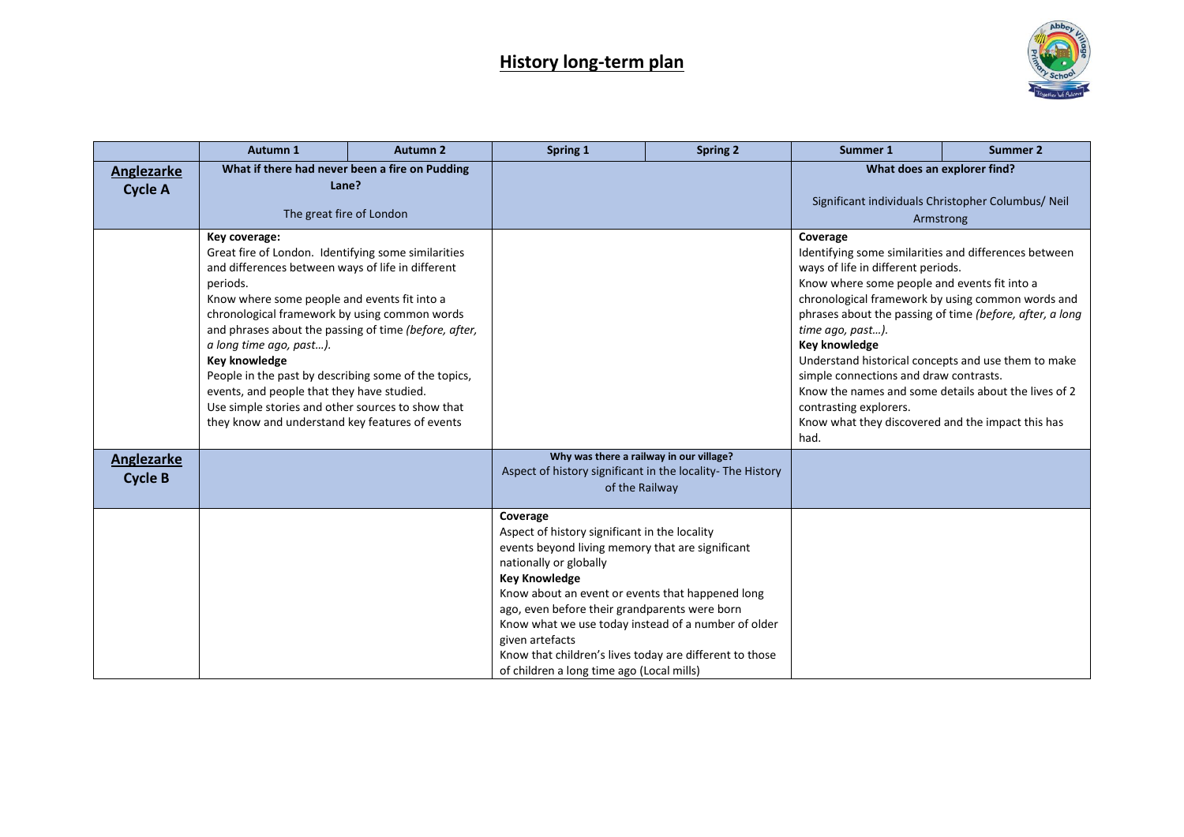

|                                     | Autumn 1                                                                                                                                                                                                                                                                                                                                                                                                                                                                                                                                                         | <b>Autumn 2</b> | Spring 1                                                                                                                                                                                                                                                                                                                                                                                                                                               | <b>Spring 2</b> | Summer 1                                                                                                                                                                                                                                                                                                                                                                                                                                                                                                                                                      | <b>Summer 2</b> |
|-------------------------------------|------------------------------------------------------------------------------------------------------------------------------------------------------------------------------------------------------------------------------------------------------------------------------------------------------------------------------------------------------------------------------------------------------------------------------------------------------------------------------------------------------------------------------------------------------------------|-----------------|--------------------------------------------------------------------------------------------------------------------------------------------------------------------------------------------------------------------------------------------------------------------------------------------------------------------------------------------------------------------------------------------------------------------------------------------------------|-----------------|---------------------------------------------------------------------------------------------------------------------------------------------------------------------------------------------------------------------------------------------------------------------------------------------------------------------------------------------------------------------------------------------------------------------------------------------------------------------------------------------------------------------------------------------------------------|-----------------|
| Anglezarke<br><b>Cycle A</b>        | What if there had never been a fire on Pudding<br>Lane?<br>The great fire of London                                                                                                                                                                                                                                                                                                                                                                                                                                                                              |                 |                                                                                                                                                                                                                                                                                                                                                                                                                                                        |                 | What does an explorer find?<br>Significant individuals Christopher Columbus/ Neil<br>Armstrong                                                                                                                                                                                                                                                                                                                                                                                                                                                                |                 |
| <b>Anglezarke</b><br><b>Cycle B</b> | Key coverage:<br>Great fire of London. Identifying some similarities<br>and differences between ways of life in different<br>periods.<br>Know where some people and events fit into a<br>chronological framework by using common words<br>and phrases about the passing of time (before, after,<br>a long time ago, past).<br><b>Key knowledge</b><br>People in the past by describing some of the topics,<br>events, and people that they have studied.<br>Use simple stories and other sources to show that<br>they know and understand key features of events |                 | Why was there a railway in our village?<br>Aspect of history significant in the locality- The History                                                                                                                                                                                                                                                                                                                                                  |                 | Coverage<br>Identifying some similarities and differences between<br>ways of life in different periods.<br>Know where some people and events fit into a<br>chronological framework by using common words and<br>phrases about the passing of time (before, after, a long<br>time ago, past).<br>Key knowledge<br>Understand historical concepts and use them to make<br>simple connections and draw contrasts.<br>Know the names and some details about the lives of 2<br>contrasting explorers.<br>Know what they discovered and the impact this has<br>had. |                 |
|                                     |                                                                                                                                                                                                                                                                                                                                                                                                                                                                                                                                                                  |                 | of the Railway                                                                                                                                                                                                                                                                                                                                                                                                                                         |                 |                                                                                                                                                                                                                                                                                                                                                                                                                                                                                                                                                               |                 |
|                                     |                                                                                                                                                                                                                                                                                                                                                                                                                                                                                                                                                                  |                 | Coverage<br>Aspect of history significant in the locality<br>events beyond living memory that are significant<br>nationally or globally<br><b>Key Knowledge</b><br>Know about an event or events that happened long<br>ago, even before their grandparents were born<br>Know what we use today instead of a number of older<br>given artefacts<br>Know that children's lives today are different to those<br>of children a long time ago (Local mills) |                 |                                                                                                                                                                                                                                                                                                                                                                                                                                                                                                                                                               |                 |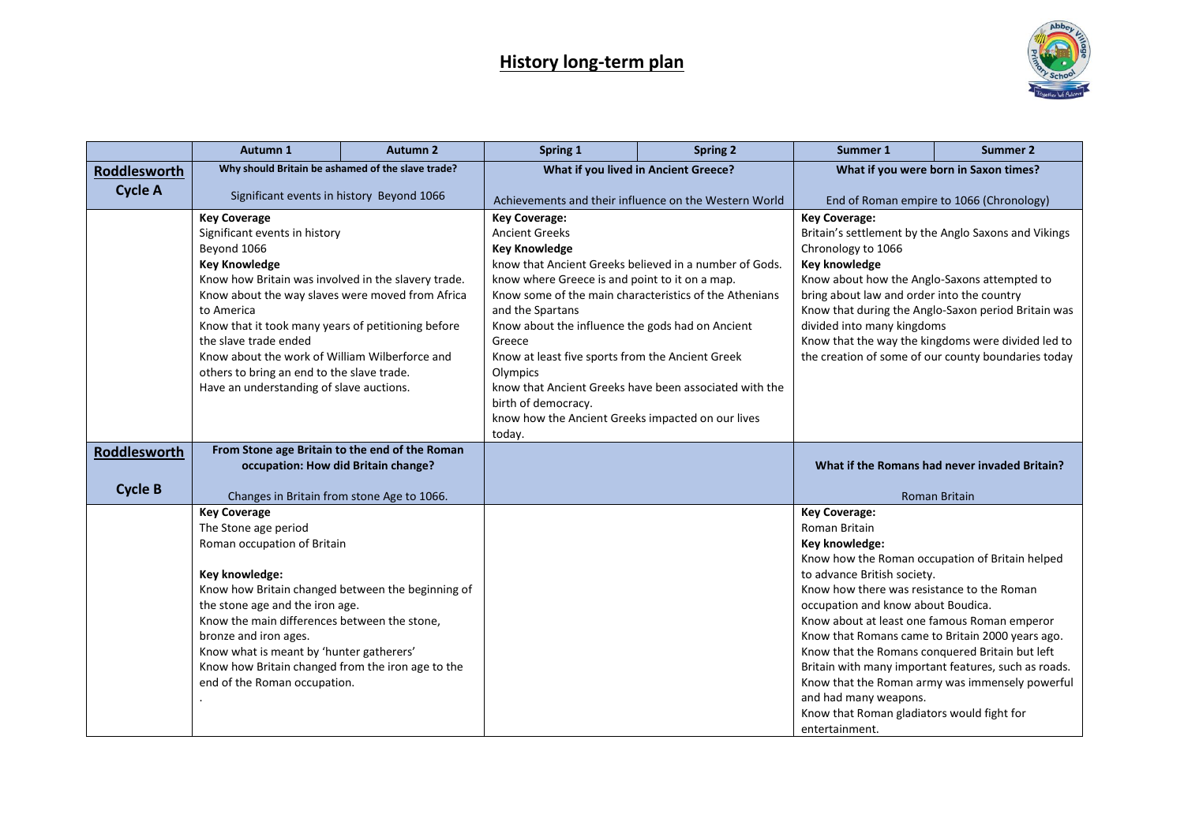

|                                | Autumn 1                                                                                                                                                                                                                                                                                                                                                                                                                                        | <b>Autumn 2</b> | Spring 1                                                                                                                                                                                                                                                                                                                                                                                                                                                                                                                            | <b>Spring 2</b> | Summer 1                                                                                                                                                                                                                                                                                                                                                                                                                                                                      | <b>Summer 2</b>                                                                                                                 |
|--------------------------------|-------------------------------------------------------------------------------------------------------------------------------------------------------------------------------------------------------------------------------------------------------------------------------------------------------------------------------------------------------------------------------------------------------------------------------------------------|-----------------|-------------------------------------------------------------------------------------------------------------------------------------------------------------------------------------------------------------------------------------------------------------------------------------------------------------------------------------------------------------------------------------------------------------------------------------------------------------------------------------------------------------------------------------|-----------------|-------------------------------------------------------------------------------------------------------------------------------------------------------------------------------------------------------------------------------------------------------------------------------------------------------------------------------------------------------------------------------------------------------------------------------------------------------------------------------|---------------------------------------------------------------------------------------------------------------------------------|
| Roddlesworth                   | Why should Britain be ashamed of the slave trade?                                                                                                                                                                                                                                                                                                                                                                                               |                 | What if you lived in Ancient Greece?                                                                                                                                                                                                                                                                                                                                                                                                                                                                                                |                 | What if you were born in Saxon times?                                                                                                                                                                                                                                                                                                                                                                                                                                         |                                                                                                                                 |
| <b>Cycle A</b>                 | Significant events in history Beyond 1066                                                                                                                                                                                                                                                                                                                                                                                                       |                 | Achievements and their influence on the Western World                                                                                                                                                                                                                                                                                                                                                                                                                                                                               |                 | End of Roman empire to 1066 (Chronology)                                                                                                                                                                                                                                                                                                                                                                                                                                      |                                                                                                                                 |
|                                | <b>Key Coverage</b><br>Significant events in history<br>Beyond 1066<br><b>Key Knowledge</b><br>Know how Britain was involved in the slavery trade.<br>Know about the way slaves were moved from Africa<br>to America<br>Know that it took many years of petitioning before<br>the slave trade ended<br>Know about the work of William Wilberforce and<br>others to bring an end to the slave trade.<br>Have an understanding of slave auctions. |                 | <b>Key Coverage:</b><br><b>Ancient Greeks</b><br><b>Key Knowledge</b><br>know that Ancient Greeks believed in a number of Gods.<br>know where Greece is and point to it on a map.<br>Know some of the main characteristics of the Athenians<br>and the Spartans<br>Know about the influence the gods had on Ancient<br>Greece<br>Know at least five sports from the Ancient Greek<br>Olympics<br>know that Ancient Greeks have been associated with the<br>birth of democracy.<br>know how the Ancient Greeks impacted on our lives |                 | <b>Key Coverage:</b><br>Britain's settlement by the Anglo Saxons and Vikings<br>Chronology to 1066<br><b>Key knowledge</b><br>Know about how the Anglo-Saxons attempted to<br>bring about law and order into the country<br>Know that during the Anglo-Saxon period Britain was<br>divided into many kingdoms<br>Know that the way the kingdoms were divided led to<br>the creation of some of our county boundaries today                                                    |                                                                                                                                 |
| Roddlesworth<br><b>Cycle B</b> | From Stone age Britain to the end of the Roman<br>occupation: How did Britain change?                                                                                                                                                                                                                                                                                                                                                           |                 | today.                                                                                                                                                                                                                                                                                                                                                                                                                                                                                                                              |                 |                                                                                                                                                                                                                                                                                                                                                                                                                                                                               | What if the Romans had never invaded Britain?                                                                                   |
|                                | Changes in Britain from stone Age to 1066.<br><b>Key Coverage</b><br>The Stone age period<br>Roman occupation of Britain<br>Key knowledge:<br>Know how Britain changed between the beginning of<br>the stone age and the iron age.<br>Know the main differences between the stone,<br>bronze and iron ages.<br>Know what is meant by 'hunter gatherers'<br>Know how Britain changed from the iron age to the<br>end of the Roman occupation.    |                 |                                                                                                                                                                                                                                                                                                                                                                                                                                                                                                                                     |                 | <b>Key Coverage:</b><br>Roman Britain<br>Key knowledge:<br>Know how the Roman occupation of Britain helped<br>to advance British society.<br>Know how there was resistance to the Roman<br>occupation and know about Boudica.<br>Know about at least one famous Roman emperor<br>Know that Romans came to Britain 2000 years ago.<br>Know that the Romans conquered Britain but left<br>and had many weapons.<br>Know that Roman gladiators would fight for<br>entertainment. | <b>Roman Britain</b><br>Britain with many important features, such as roads.<br>Know that the Roman army was immensely powerful |